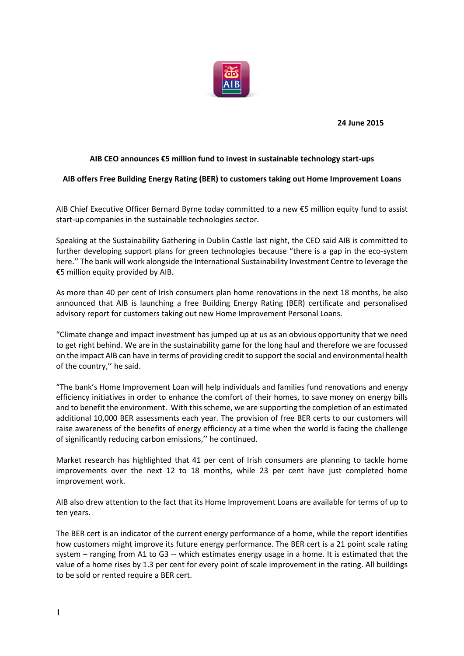

**24 June 2015**

# **AIB CEO announces €5 million fund to invest in sustainable technology start-ups**

# **AIB offers Free Building Energy Rating (BER) to customers taking out Home Improvement Loans**

AIB Chief Executive Officer Bernard Byrne today committed to a new €5 million equity fund to assist start-up companies in the sustainable technologies sector.

Speaking at the Sustainability Gathering in Dublin Castle last night, the CEO said AIB is committed to further developing support plans for green technologies because "there is a gap in the eco-system here.'' The bank will work alongside the International Sustainability Investment Centre to leverage the €5 million equity provided by AIB.

As more than 40 per cent of Irish consumers plan home renovations in the next 18 months, he also announced that AIB is launching a free Building Energy Rating (BER) certificate and personalised advisory report for customers taking out new Home Improvement Personal Loans.

"Climate change and impact investment has jumped up at us as an obvious opportunity that we need to get right behind. We are in the sustainability game for the long haul and therefore we are focussed on the impact AIB can have in terms of providing credit to support the social and environmental health of the country,'' he said.

"The bank's Home Improvement Loan will help individuals and families fund renovations and energy efficiency initiatives in order to enhance the comfort of their homes, to save money on energy bills and to benefit the environment. With this scheme, we are supporting the completion of an estimated additional 10,000 BER assessments each year. The provision of free BER certs to our customers will raise awareness of the benefits of energy efficiency at a time when the world is facing the challenge of significantly reducing carbon emissions,'' he continued.

Market research has highlighted that 41 per cent of Irish consumers are planning to tackle home improvements over the next 12 to 18 months, while 23 per cent have just completed home improvement work.

AIB also drew attention to the fact that its Home Improvement Loans are available for terms of up to ten years.

The BER cert is an indicator of the current energy performance of a home, while the report identifies how customers might improve its future energy performance. The BER cert is a 21 point scale rating system – ranging from A1 to G3 -- which estimates energy usage in a home. It is estimated that the value of a home rises by 1.3 per cent for every point of scale improvement in the rating. All buildings to be sold or rented require a BER cert.